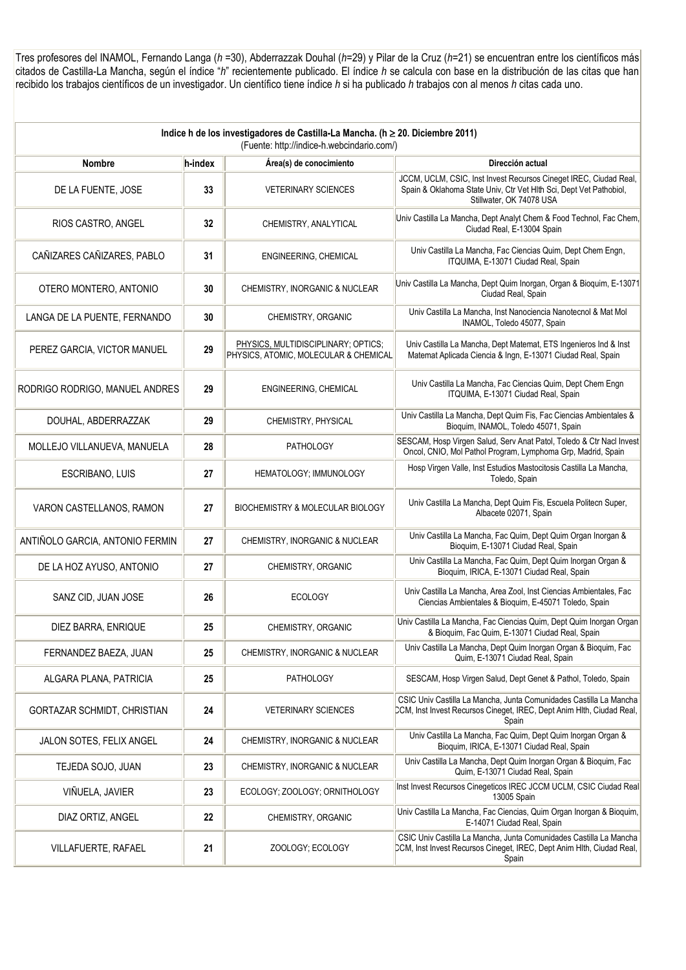Tres profesores del INAMOL, Fernando Langa (*h* =30), Abderrazzak Douhal (*h*=29) y Pilar de la Cruz (*h*=21) se encuentran entre los científicos más citados de Castilla-La Mancha, según el índice "*h*" recientemente publicado. El índice *h* se calcula con base en la distribución de las citas que han recibido los trabajos científicos de un investigador. Un científico tiene índice *h* si ha publicado *h* trabajos con al menos *h* citas cada uno.

| Indice h de los investigadores de Castilla-La Mancha. (h ≥ 20. Diciembre 2011)<br>(Fuente: http://indice-h.webcindario.com/) |         |                                                                              |                                                                                                                                                                     |  |
|------------------------------------------------------------------------------------------------------------------------------|---------|------------------------------------------------------------------------------|---------------------------------------------------------------------------------------------------------------------------------------------------------------------|--|
| <b>Nombre</b>                                                                                                                | h-index | Área(s) de conocimiento                                                      | Dirección actual                                                                                                                                                    |  |
| DE LA FUENTE, JOSE                                                                                                           | 33      | <b>VETERINARY SCIENCES</b>                                                   | JCCM, UCLM, CSIC, Inst Invest Recursos Cineget IREC, Ciudad Real,<br>Spain & Oklahoma State Univ, Ctr Vet Hlth Sci, Dept Vet Pathobiol,<br>Stillwater, OK 74078 USA |  |
| RIOS CASTRO, ANGEL                                                                                                           | 32      | CHEMISTRY, ANALYTICAL                                                        | Univ Castilla La Mancha, Dept Analyt Chem & Food Technol, Fac Chem,<br>Ciudad Real, E-13004 Spain                                                                   |  |
| CAÑIZARES CAÑIZARES, PABLO                                                                                                   | 31      | ENGINEERING, CHEMICAL                                                        | Univ Castilla La Mancha, Fac Ciencias Quim, Dept Chem Engn,<br>ITQUIMA, E-13071 Ciudad Real, Spain                                                                  |  |
| OTERO MONTERO, ANTONIO                                                                                                       | 30      | CHEMISTRY, INORGANIC & NUCLEAR                                               | Univ Castilla La Mancha, Dept Quim Inorgan, Organ & Bioquim, E-13071<br>Ciudad Real, Spain                                                                          |  |
| LANGA DE LA PUENTE, FERNANDO                                                                                                 | 30      | CHEMISTRY, ORGANIC                                                           | Univ Castilla La Mancha, Inst Nanociencia Nanotecnol & Mat Mol<br>INAMOL, Toledo 45077, Spain                                                                       |  |
| PEREZ GARCIA, VICTOR MANUEL                                                                                                  | 29      | PHYSICS, MULTIDISCIPLINARY; OPTICS;<br>PHYSICS, ATOMIC, MOLECULAR & CHEMICAL | Univ Castilla La Mancha, Dept Matemat, ETS Ingenieros Ind & Inst<br>Matemat Aplicada Ciencia & Ingn, E-13071 Ciudad Real, Spain                                     |  |
| RODRIGO RODRIGO, MANUEL ANDRES                                                                                               | 29      | ENGINEERING, CHEMICAL                                                        | Univ Castilla La Mancha, Fac Ciencias Quim, Dept Chem Engn<br>ITQUIMA, E-13071 Ciudad Real, Spain                                                                   |  |
| DOUHAL, ABDERRAZZAK                                                                                                          | 29      | CHEMISTRY, PHYSICAL                                                          | Univ Castilla La Mancha, Dept Quim Fis, Fac Ciencias Ambientales &<br>Bioquim, INAMOL, Toledo 45071, Spain                                                          |  |
| MOLLEJO VILLANUEVA, MANUELA                                                                                                  | 28      | <b>PATHOLOGY</b>                                                             | SESCAM, Hosp Virgen Salud, Serv Anat Patol, Toledo & Ctr Nacl Invest<br>Oncol, CNIO, Mol Pathol Program, Lymphoma Grp, Madrid, Spain                                |  |
| ESCRIBANO, LUIS                                                                                                              | 27      | HEMATOLOGY; IMMUNOLOGY                                                       | Hosp Virgen Valle, Inst Estudios Mastocitosis Castilla La Mancha,<br>Toledo, Spain                                                                                  |  |
| VARON CASTELLANOS, RAMON                                                                                                     | 27      | BIOCHEMISTRY & MOLECULAR BIOLOGY                                             | Univ Castilla La Mancha, Dept Quim Fis, Escuela Politecn Super,<br>Albacete 02071, Spain                                                                            |  |
| ANTIÑOLO GARCIA, ANTONIO FERMIN                                                                                              | 27      | CHEMISTRY, INORGANIC & NUCLEAR                                               | Univ Castilla La Mancha, Fac Quim, Dept Quim Organ Inorgan &<br>Bioquim, E-13071 Ciudad Real, Spain                                                                 |  |
| DE LA HOZ AYUSO, ANTONIO                                                                                                     | 27      | CHEMISTRY, ORGANIC                                                           | Univ Castilla La Mancha, Fac Quim, Dept Quim Inorgan Organ &<br>Bioquim, IRICA, E-13071 Ciudad Real, Spain                                                          |  |
| SANZ CID, JUAN JOSE                                                                                                          | 26      | <b>ECOLOGY</b>                                                               | Univ Castilla La Mancha, Area Zool, Inst Ciencias Ambientales, Fac<br>Ciencias Ambientales & Bioquim, E-45071 Toledo, Spain                                         |  |
| DIEZ BARRA, ENRIQUE                                                                                                          | 25      | CHEMISTRY, ORGANIC                                                           | Univ Castilla La Mancha, Fac Ciencias Quim, Dept Quim Inorgan Organ<br>& Bioquim, Fac Quim, E-13071 Ciudad Real, Spain                                              |  |
| FERNANDEZ BAEZA, JUAN                                                                                                        | 25      | CHEMISTRY, INORGANIC & NUCLEAR                                               | Univ Castilla La Mancha, Dept Quim Inorgan Organ & Bioquim, Fac<br>Quim, E-13071 Ciudad Real, Spain                                                                 |  |
| ALGARA PLANA, PATRICIA                                                                                                       | 25      | <b>PATHOLOGY</b>                                                             | SESCAM, Hosp Virgen Salud, Dept Genet & Pathol, Toledo, Spain                                                                                                       |  |
| GORTAZAR SCHMIDT, CHRISTIAN                                                                                                  | 24      | <b>VETERINARY SCIENCES</b>                                                   | CSIC Univ Castilla La Mancha, Junta Comunidades Castilla La Mancha<br>CCM, Inst Invest Recursos Cineget, IREC, Dept Anim Hlth, Ciudad Real,<br>Spain                |  |
| JALON SOTES, FELIX ANGEL                                                                                                     | 24      | CHEMISTRY, INORGANIC & NUCLEAR                                               | Univ Castilla La Mancha, Fac Quim, Dept Quim Inorgan Organ &<br>Bioquim, IRICA, E-13071 Ciudad Real, Spain                                                          |  |
| TEJEDA SOJO, JUAN                                                                                                            | 23      | CHEMISTRY, INORGANIC & NUCLEAR                                               | Univ Castilla La Mancha, Dept Quim Inorgan Organ & Bioquim, Fac<br>Quim, E-13071 Ciudad Real, Spain                                                                 |  |
| VIÑUELA, JAVIER                                                                                                              | 23      | ECOLOGY; ZOOLOGY; ORNITHOLOGY                                                | Inst Invest Recursos Cinegeticos IREC JCCM UCLM, CSIC Ciudad Real<br>13005 Spain                                                                                    |  |
| DIAZ ORTIZ, ANGEL                                                                                                            | 22      | CHEMISTRY, ORGANIC                                                           | Univ Castilla La Mancha, Fac Ciencias, Quim Organ Inorgan & Bioquim,<br>E-14071 Ciudad Real, Spain                                                                  |  |
| VILLAFUERTE, RAFAEL                                                                                                          | 21      | ZOOLOGY; ECOLOGY                                                             | CSIC Univ Castilla La Mancha, Junta Comunidades Castilla La Mancha<br>CCM, Inst Invest Recursos Cineget, IREC, Dept Anim Hlth, Ciudad Real,<br>Spain                |  |